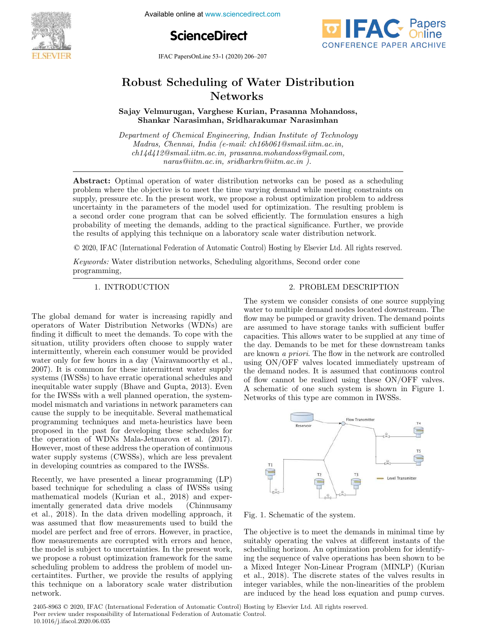Available online at www.sciencedirect.com





IFAC PapersOnLine 53-1 (2020) 206–207

# Robust Scheduling of Water Distribution Networks

Sajay Velmurugan, Varghese Kurian, Prasanna Mohandoss, Shankar Narasimhan, Sridharakumar Narasimhan

Department of Chemical Engineering, Indian Institute of Technology Madras, Chennai, India (e-mail: ch16b061@smail.iitm.ac.in, ch14d412@smail.iitm.ac.in, prasanna.mohandoss@gmail.com, naras@iitm.ac.in, sridharkrn@iitm.ac.in ).

Abstract: Optimal operation of water distribution networks can be posed as a scheduling problem where the objective is to meet the time varying demand while meeting constraints on supply, pressure etc. In the present work, we propose a robust optimization problem to address uncertainty in the parameters of the model used for optimization. The resulting problem is a second order cone program that can be solved efficiently. The formulation ensures a high probability of meeting the demands, adding to the practical significance. Further, we provide the results of applying this technique on a laboratory scale water distribution network.

© 2020, IFAC (International Federation of Automatic Control) Hosting by Elsevier Ltd. All rights reserved.

Keywords: Water distribution networks, Scheduling algorithms, Second order cone programming,

The global demand for water is increasing rapidly and operators of Water Distribution Networks (WDNs) are finding it difficult to meet the demands. To cope with the situation, utility providers often choose to supply water intermittently, wherein each consumer would be provided water only for few hours in a day (Vairavamoorthy et al., 2007). It is common for these intermittent water supply systems (IWSSs) to have erratic operational schedules and inequitable water supply (Bhave and Gupta, 2013). Even for the IWSSs with a well planned operation, the systemmodel mismatch and variations in network parameters can cause the supply to be inequitable. Several mathematical programming techniques and meta-heuristics have been proposed in the past for developing these schedules for the operation of WDNs Mala-Jetmarova et al. (2017). However, most of these address the operation of continuous water supply systems (CWSSs), which are less prevalent in developing countries as compared to the IWSSs.

Recently, we have presented a linear programming (LP) based technique for scheduling a class of IWSSs using mathematical models (Kurian et al., 2018) and experimentally generated data drive models (Chinnusamy et al., 2018). In the data driven modelling approach, it was assumed that flow measurements used to build the model are perfect and free of errors. However, in practice, flow measurements are corrupted with errors and hence, the model is subject to uncertainties. In the present work, we propose a robust optimization framework for the same scheduling problem to address the problem of model uncertaintites. Further, we provide the results of applying this technique on a laboratory scale water distribution network.

# 1. INTRODUCTION 2. PROBLEM DESCRIPTION

The system we consider consists of one source supplying water to multiple demand nodes located downstream. The flow may be pumped or gravity driven. The demand points are assumed to have storage tanks with sufficient buffer capacities. This allows water to be supplied at any time of the day. Demands to be met for these downstream tanks are known a priori. The flow in the network are controlled using ON/OFF valves located immediately upstream of the demand nodes. It is assumed that continuous control of flow cannot be realized using these ON/OFF valves. A schematic of one such system is shown in Figure 1. Networks of this type are common in IWSSs.



Fig. 1. Schematic of the system.

The objective is to meet the demands in minimal time by suitably operating the valves at different instants of the scheduling horizon. An optimization problem for identifying the sequence of valve operations has been shown to be a Mixed Integer Non-Linear Program (MINLP) (Kurian et al., 2018). The discrete states of the valves results in integer variables, while the non-linearities of the problem are induced by the head loss equation and pump curves.

2405-8963 © 2020, IFAC (International Federation of Automatic Control) Hosting by Elsevier Ltd. All rights reserved. Peer review under responsibility of International Federation of Automatic Control. 10.1016/j.ifacol.2020.06.035